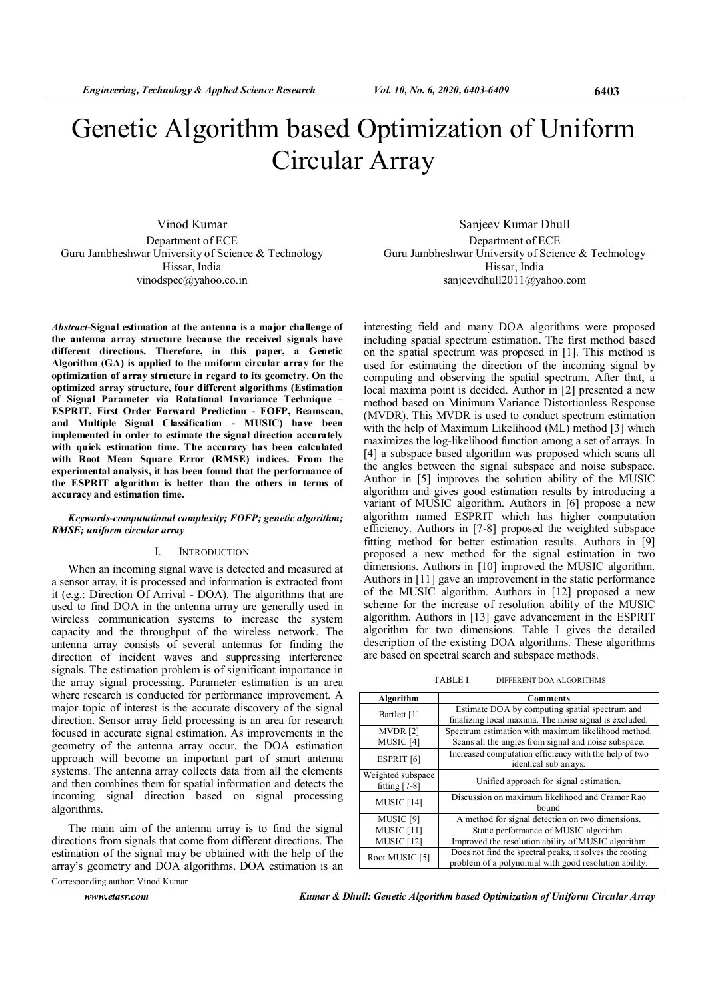# Genetic Algorithm based Optimization of Uniform Circular Array

Vinod Kumar Department of ECE Guru Jambheshwar University of Science & Technology Hissar, India vinodspec@yahoo.co.in

Abstract-Signal estimation at the antenna is a major challenge of the antenna array structure because the received signals have different directions. Therefore, in this paper, a Genetic Algorithm (GA) is applied to the uniform circular array for the optimization of array structure in regard to its geometry. On the optimized array structure, four different algorithms (Estimation of Signal Parameter via Rotational Invariance Technique – ESPRIT, First Order Forward Prediction - FOFP, Beamscan, and Multiple Signal Classification - MUSIC) have been implemented in order to estimate the signal direction accurately with quick estimation time. The accuracy has been calculated with Root Mean Square Error (RMSE) indices. From the experimental analysis, it has been found that the performance of the ESPRIT algorithm is better than the others in terms of accuracy and estimation time.

# Keywords-computational complexity; FOFP; genetic algorithm; RMSE; uniform circular array

# I. INTRODUCTION

When an incoming signal wave is detected and measured at a sensor array, it is processed and information is extracted from it (e.g.: Direction Of Arrival - DOA). The algorithms that are used to find DOA in the antenna array are generally used in wireless communication systems to increase the system capacity and the throughput of the wireless network. The antenna array consists of several antennas for finding the direction of incident waves and suppressing interference signals. The estimation problem is of significant importance in the array signal processing. Parameter estimation is an area where research is conducted for performance improvement. A major topic of interest is the accurate discovery of the signal direction. Sensor array field processing is an area for research focused in accurate signal estimation. As improvements in the geometry of the antenna array occur, the DOA estimation approach will become an important part of smart antenna systems. The antenna array collects data from all the elements and then combines them for spatial information and detects the incoming signal direction based on signal processing algorithms.

The main aim of the antenna array is to find the signal directions from signals that come from different directions. The estimation of the signal may be obtained with the help of the array's geometry and DOA algorithms. DOA estimation is an Corresponding author: Vinod Kumar

www.etasr.com **Kumar & Dhull: Genetic Algorithm based Optimization of Uniform Circular Array** 

Sanjeev Kumar Dhull Department of ECE Guru Jambheshwar University of Science & Technology Hissar, India sanjeevdhull2011@yahoo.com

interesting field and many DOA algorithms were proposed including spatial spectrum estimation. The first method based on the spatial spectrum was proposed in [1]. This method is used for estimating the direction of the incoming signal by computing and observing the spatial spectrum. After that, a local maxima point is decided. Author in [2] presented a new method based on Minimum Variance Distortionless Response (MVDR). This MVDR is used to conduct spectrum estimation with the help of Maximum Likelihood (ML) method [3] which maximizes the log-likelihood function among a set of arrays. In [4] a subspace based algorithm was proposed which scans all the angles between the signal subspace and noise subspace. Author in [5] improves the solution ability of the MUSIC algorithm and gives good estimation results by introducing a variant of MUSIC algorithm. Authors in [6] propose a new algorithm named ESPRIT which has higher computation efficiency. Authors in [7-8] proposed the weighted subspace fitting method for better estimation results. Authors in [9] proposed a new method for the signal estimation in two dimensions. Authors in [10] improved the MUSIC algorithm. Authors in [11] gave an improvement in the static performance of the MUSIC algorithm. Authors in [12] proposed a new scheme for the increase of resolution ability of the MUSIC algorithm. Authors in [13] gave advancement in the ESPRIT algorithm for two dimensions. Table I gives the detailed description of the existing DOA algorithms. These algorithms are based on spectral search and subspace methods.

TABLE I. DIFFERENT DOA ALGORITHMS

| Algorithm                            | Comments                                                                                                         |
|--------------------------------------|------------------------------------------------------------------------------------------------------------------|
| Bartlett [1]                         | Estimate DOA by computing spatial spectrum and<br>finalizing local maxima. The noise signal is excluded.         |
| <b>MVDR</b> [2]                      | Spectrum estimation with maximum likelihood method.                                                              |
| MUSIC <sub>[4]</sub>                 | Scans all the angles from signal and noise subspace.                                                             |
| <b>ESPRIT</b> [6]                    | Increased computation efficiency with the help of two<br>identical sub arrays.                                   |
| Weighted subspace<br>fitting $[7-8]$ | Unified approach for signal estimation.                                                                          |
| MUSIC <sub>[14]</sub>                | Discussion on maximum likelihood and Cramor Rao<br>bound                                                         |
| MUSIC <sub>[9]</sub>                 | A method for signal detection on two dimensions.                                                                 |
| MUSIC <sub>[11]</sub>                | Static performance of MUSIC algorithm.                                                                           |
| MUSIC <sub>[12]</sub>                | Improved the resolution ability of MUSIC algorithm                                                               |
| Root MUSIC [5]                       | Does not find the spectral peaks, it solves the rooting<br>problem of a polynomial with good resolution ability. |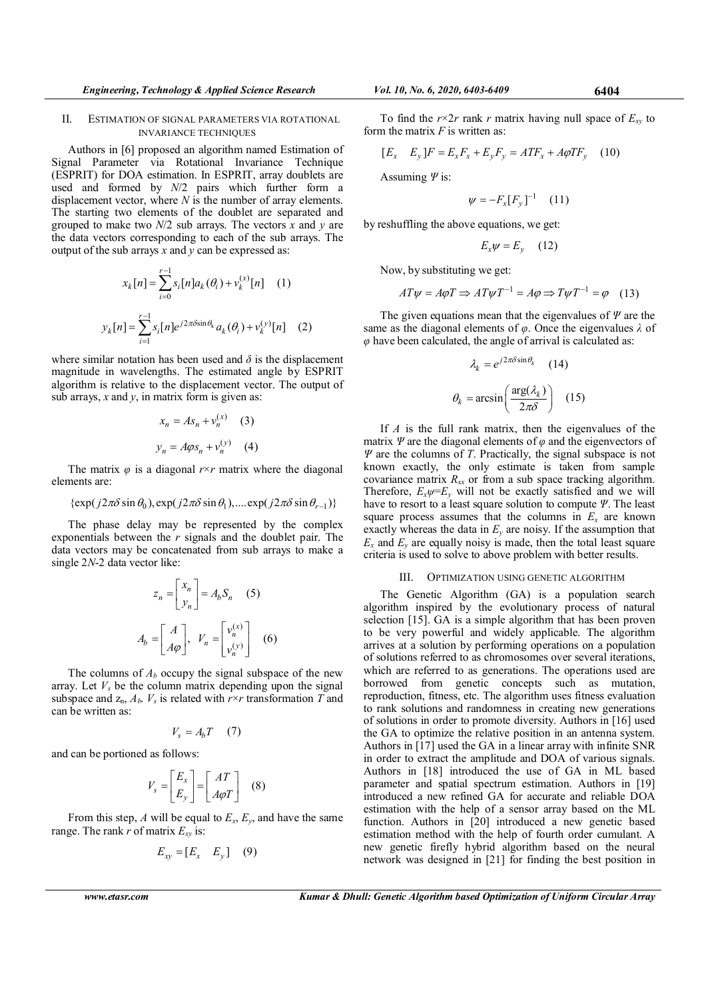## II. ESTIMATION OF SIGNAL PARAMETERS VIA ROTATIONAL INVARIANCE TECHNIQUES

Authors in [6] proposed an algorithm named Estimation of Signal Parameter via Rotational Invariance Technique (ESPRIT) for DOA estimation. In ESPRIT, array doublets are used and formed by N/2 pairs which further form a displacement vector, where  $N$  is the number of array elements. The starting two elements of the doublet are separated and grouped to make two  $N/2$  sub arrays. The vectors x and y are the data vectors corresponding to each of the sub arrays. The output of the sub arrays  $x$  and  $y$  can be expressed as:

$$
x_k[n] = \sum_{i=0}^{r-1} s_i[n]a_k(\theta_i) + v_k^{(x)}[n] \quad (1)
$$
  

$$
y_k[n] = \sum_{i=1}^{r-1} s_i[n]e^{j2\pi\delta \sin\theta_k} a_k(\theta_i) + v_k^{(y)}[n] \quad (2)
$$

where similar notation has been used and  $\delta$  is the displacement magnitude in wavelengths. The estimated angle by ESPRIT algorithm is relative to the displacement vector. The output of sub arrays,  $x$  and  $y$ , in matrix form is given as:

$$
x_n = As_n + v_n^{(x)} \quad (3)
$$
  

$$
y_n = A\varphi s_n + v_n^{(y)} \quad (4)
$$

The matrix  $\varphi$  is a diagonal  $r \times r$  matrix where the diagonal elements are:

$$
\{\exp(j2\pi\delta\sin\theta_0), \exp(j2\pi\delta\sin\theta_1), \dots \exp(j2\pi\delta\sin\theta_{r-1})\}
$$

The phase delay may be represented by the complex exponentials between the  $r$  signals and the doublet pair. The data vectors may be concatenated from sub arrays to make a single 2N-2 data vector like:

$$
z_n = \begin{bmatrix} x_n \\ y_n \end{bmatrix} = A_b S_n \quad (5)
$$

$$
A_b = \begin{bmatrix} A \\ A\varphi \end{bmatrix}, \ V_n = \begin{bmatrix} v_n^{(x)} \\ v_n^{(y)} \end{bmatrix} \quad (6)
$$

The columns of  $A_b$  occupy the signal subspace of the new array. Let  $V_s$  be the column matrix depending upon the signal subspace and  $z_n$ ,  $A_h$ .  $V_s$  is related with  $r \times r$  transformation T and can be written as:

$$
V_s = A_b T \quad (7)
$$

and can be portioned as follows:

$$
V_s = \begin{bmatrix} E_x \\ E_y \end{bmatrix} = \begin{bmatrix} AT \\ A\varphi T \end{bmatrix} \quad (8)
$$

From this step, A will be equal to  $E_x$ ,  $E_y$ , and have the same range. The rank r of matrix  $E_{xy}$  is:

$$
E_{xy} = [E_x \quad E_y] \quad (9)
$$

To find the  $r \times 2r$  rank r matrix having null space of  $E_{xy}$  to form the matrix  $F$  is written as:

$$
[E_x \quad E_y]F = E_x F_x + E_y F_y = A T F_x + A \varphi T F_y \quad (10)
$$

Assuming  $\Psi$  is:

$$
\psi = -F_x[F_y]^{-1} \quad (11)
$$

by reshuffling the above equations, we get:

$$
E_x \psi = E_y \quad (12)
$$

Now, by substituting we get:

$$
AT\psi = A\varphi T \Rightarrow AT\psi T^{-1} = A\varphi \Rightarrow T\psi T^{-1} = \varphi \quad (13)
$$

The given equations mean that the eigenvalues of  $\Psi$  are the same as the diagonal elements of  $\varphi$ . Once the eigenvalues  $\lambda$  of  $\varphi$  have been calculated, the angle of arrival is calculated as:

$$
\lambda_k = e^{j2\pi\delta \sin \theta_k} \quad (14)
$$

$$
\theta_k = \arcsin\left(\frac{\arg(\lambda_k)}{2\pi\delta}\right) \quad (15)
$$

If  $A$  is the full rank matrix, then the eigenvalues of the matrix  $\Psi$  are the diagonal elements of  $\varphi$  and the eigenvectors of  $\Psi$  are the columns of T. Practically, the signal subspace is not known exactly, the only estimate is taken from sample covariance matrix  $R_{xx}$  or from a sub space tracking algorithm. Therefore,  $E_x \psi = E_y$  will not be exactly satisfied and we will have to resort to a least square solution to compute Ψ. The least square process assumes that the columns in  $E_x$  are known exactly whereas the data in  $E_y$  are noisy. If the assumption that  $E<sub>x</sub>$  and  $E<sub>y</sub>$  are equally noisy is made, then the total least square criteria is used to solve to above problem with better results.

## III. OPTIMIZATION USING GENETIC ALGORITHM

The Genetic Algorithm (GA) is a population search algorithm inspired by the evolutionary process of natural selection [15]. GA is a simple algorithm that has been proven to be very powerful and widely applicable. The algorithm arrives at a solution by performing operations on a population of solutions referred to as chromosomes over several iterations, which are referred to as generations. The operations used are borrowed from genetic concepts such as mutation, reproduction, fitness, etc. The algorithm uses fitness evaluation to rank solutions and randomness in creating new generations of solutions in order to promote diversity. Authors in [16] used the GA to optimize the relative position in an antenna system. Authors in [17] used the GA in a linear array with infinite SNR in order to extract the amplitude and DOA of various signals. Authors in [18] introduced the use of GA in ML based parameter and spatial spectrum estimation. Authors in [19] introduced a new refined GA for accurate and reliable DOA estimation with the help of a sensor array based on the ML function. Authors in [20] introduced a new genetic based estimation method with the help of fourth order cumulant. A new genetic firefly hybrid algorithm based on the neural network was designed in [21] for finding the best position in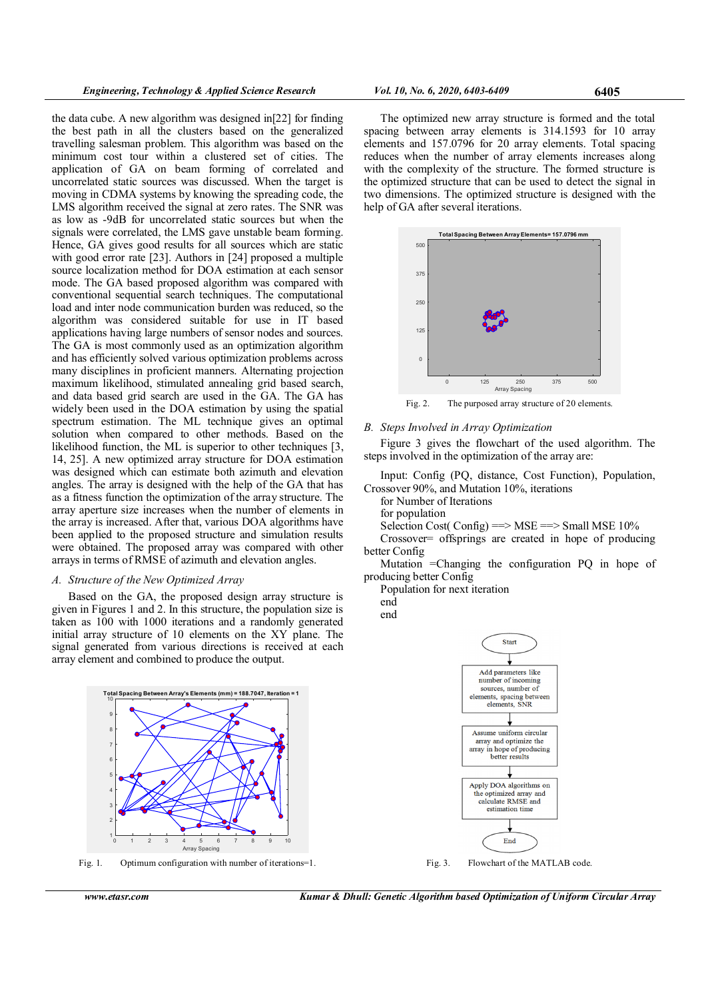the data cube. A new algorithm was designed in[22] for finding the best path in all the clusters based on the generalized travelling salesman problem. This algorithm was based on the minimum cost tour within a clustered set of cities. The application of GA on beam forming of correlated and uncorrelated static sources was discussed. When the target is moving in CDMA systems by knowing the spreading code, the LMS algorithm received the signal at zero rates. The SNR was as low as -9dB for uncorrelated static sources but when the signals were correlated, the LMS gave unstable beam forming. Hence, GA gives good results for all sources which are static with good error rate [23]. Authors in [24] proposed a multiple source localization method for DOA estimation at each sensor mode. The GA based proposed algorithm was compared with conventional sequential search techniques. The computational load and inter node communication burden was reduced, so the algorithm was considered suitable for use in IT based applications having large numbers of sensor nodes and sources. The GA is most commonly used as an optimization algorithm and has efficiently solved various optimization problems across many disciplines in proficient manners. Alternating projection maximum likelihood, stimulated annealing grid based search, and data based grid search are used in the GA. The GA has widely been used in the DOA estimation by using the spatial spectrum estimation. The ML technique gives an optimal solution when compared to other methods. Based on the likelihood function, the ML is superior to other techniques [3, 14, 25]. A new optimized array structure for DOA estimation was designed which can estimate both azimuth and elevation angles. The array is designed with the help of the GA that has as a fitness function the optimization of the array structure. The array aperture size increases when the number of elements in the array is increased. After that, various DOA algorithms have been applied to the proposed structure and simulation results were obtained. The proposed array was compared with other arrays in terms of RMSE of azimuth and elevation angles.

# A. Structure of the New Optimized Array

Based on the GA, the proposed design array structure is given in Figures 1 and 2. In this structure, the population size is taken as 100 with 1000 iterations and a randomly generated initial array structure of 10 elements on the XY plane. The signal generated from various directions is received at each array element and combined to produce the output.



Fig. 1. Optimum configuration with number of iterations=1.



Fig. 3. Flowchart of the MATLAB code.

The optimized new array structure is formed and the total spacing between array elements is 314.1593 for 10 array elements and 157.0796 for 20 array elements. Total spacing reduces when the number of array elements increases along with the complexity of the structure. The formed structure is the optimized structure that can be used to detect the signal in two dimensions. The optimized structure is designed with the help of GA after several iterations.



Fig. 2. The purposed array structure of 20 elements.

# B. Steps Involved in Array Optimization

Figure 3 gives the flowchart of the used algorithm. The steps involved in the optimization of the array are:

Input: Config (PQ, distance, Cost Function), Population, Crossover 90%, and Mutation 10%, iterations

for Number of Iterations

for population

Selection Cost( Config)  $\equiv$  MSE =  $>$  Small MSE 10%

Crossover= offsprings are created in hope of producing better Config

Mutation =Changing the configuration PQ in hope of producing better Config

Population for next iteration

end

end

www.etasr.com Kumar & Dhull: Genetic Algorithm based Optimization of Uniform Circular Array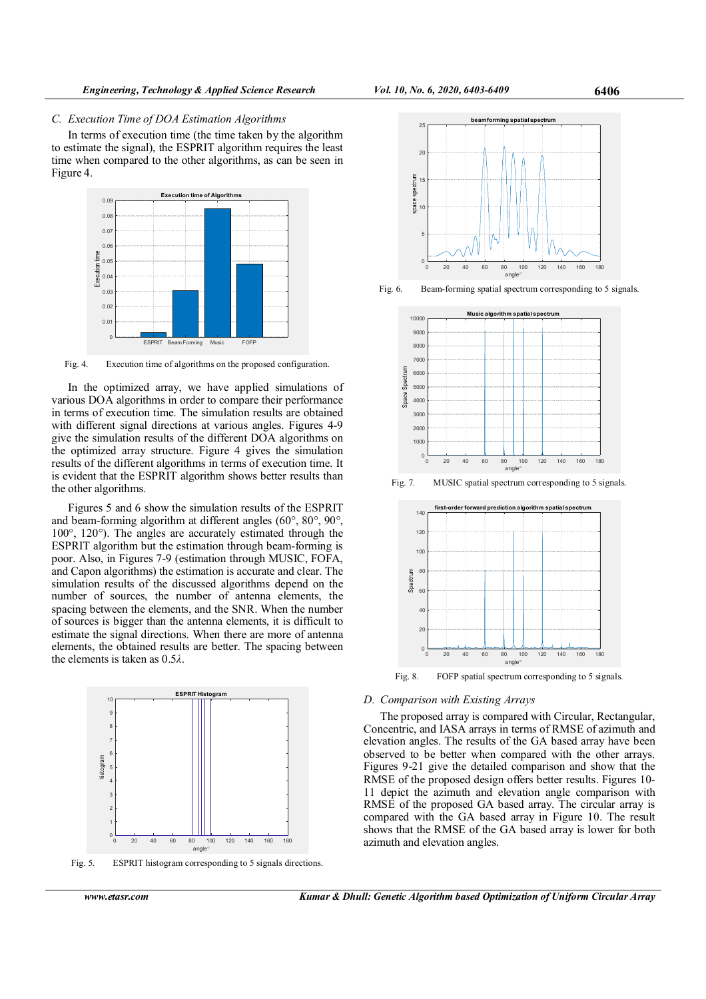## C. Execution Time of DOA Estimation Algorithms

In terms of execution time (the time taken by the algorithm to estimate the signal), the ESPRIT algorithm requires the least time when compared to the other algorithms, as can be seen in Figure 4.



Fig. 4. Execution time of algorithms on the proposed configuration.

In the optimized array, we have applied simulations of various DOA algorithms in order to compare their performance in terms of execution time. The simulation results are obtained with different signal directions at various angles. Figures 4-9 give the simulation results of the different DOA algorithms on the optimized array structure. Figure 4 gives the simulation results of the different algorithms in terms of execution time. It is evident that the ESPRIT algorithm shows better results than the other algorithms.

Figures 5 and 6 show the simulation results of the ESPRIT and beam-forming algorithm at different angles (60°, 80°, 90°, 100°, 120°). The angles are accurately estimated through the ESPRIT algorithm but the estimation through beam-forming is poor. Also, in Figures 7-9 (estimation through MUSIC, FOFA, and Capon algorithms) the estimation is accurate and clear. The simulation results of the discussed algorithms depend on the number of sources, the number of antenna elements, the spacing between the elements, and the SNR. When the number of sources is bigger than the antenna elements, it is difficult to estimate the signal directions. When there are more of antenna elements, the obtained results are better. The spacing between the elements is taken as  $0.5\lambda$ .



Fig. 5. ESPRIT histogram corresponding to 5 signals directions.



Fig. 6. Beam-forming spatial spectrum corresponding to 5 signals.



Fig. 7. MUSIC spatial spectrum corresponding to 5 signals.



Fig. 8. FOFP spatial spectrum corresponding to 5 signals.

## D. Comparison with Existing Arrays

The proposed array is compared with Circular, Rectangular, Concentric, and IASA arrays in terms of RMSE of azimuth and elevation angles. The results of the GA based array have been observed to be better when compared with the other arrays. Figures 9-21 give the detailed comparison and show that the RMSE of the proposed design offers better results. Figures 10- 11 depict the azimuth and elevation angle comparison with RMSE of the proposed GA based array. The circular array is compared with the GA based array in Figure 10. The result shows that the RMSE of the GA based array is lower for both azimuth and elevation angles.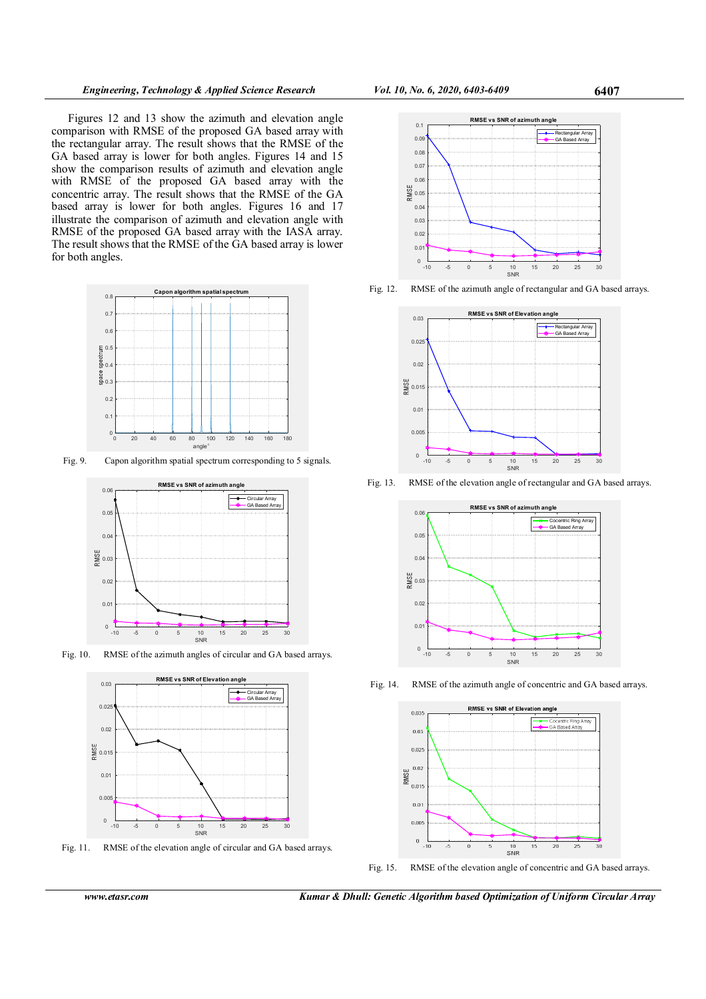Figures 12 and 13 show the azimuth and elevation angle comparison with RMSE of the proposed GA based array with the rectangular array. The result shows that the RMSE of the GA based array is lower for both angles. Figures 14 and 15 show the comparison results of azimuth and elevation angle with RMSE of the proposed GA based array with the concentric array. The result shows that the RMSE of the GA based array is lower for both angles. Figures 16 and 17 illustrate the comparison of azimuth and elevation angle with RMSE of the proposed GA based array with the IASA array. The result shows that the RMSE of the GA based array is lower for both angles.



Fig. 9. Capon algorithm spatial spectrum corresponding to 5 signals.



Fig. 10. RMSE of the azimuth angles of circular and GA based arrays.



Fig. 11. RMSE of the elevation angle of circular and GA based arrays.



Fig. 12. RMSE of the azimuth angle of rectangular and GA based arrays.



Fig. 13. RMSE of the elevation angle of rectangular and GA based arrays.



Fig. 14. RMSE of the azimuth angle of concentric and GA based arrays.



Fig. 15. RMSE of the elevation angle of concentric and GA based arrays.

www.etasr.com Kumar & Dhull: Genetic Algorithm based Optimization of Uniform Circular Array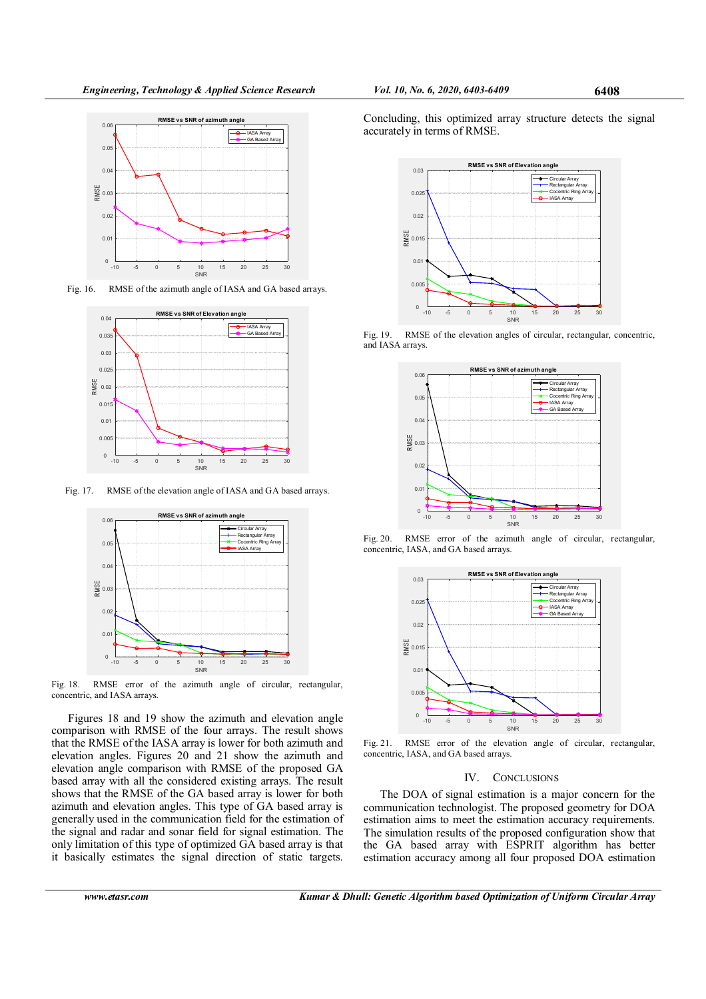

Fig. 16. RMSE of the azimuth angle of IASA and GA based arrays.



Fig. 17. RMSE of the elevation angle of IASA and GA based arrays.



Fig. 18. RMSE error of the azimuth angle of circular, rectangular, concentric, and IASA arrays.

Figures 18 and 19 show the azimuth and elevation angle comparison with RMSE of the four arrays. The result shows that the RMSE of the IASA array is lower for both azimuth and elevation angles. Figures 20 and 21 show the azimuth and elevation angle comparison with RMSE of the proposed GA based array with all the considered existing arrays. The result shows that the RMSE of the GA based array is lower for both azimuth and elevation angles. This type of GA based array is generally used in the communication field for the estimation of the signal and radar and sonar field for signal estimation. The only limitation of this type of optimized GA based array is that it basically estimates the signal direction of static targets.

Concluding, this optimized array structure detects the signal accurately in terms of RMSE.



Fig. 19. RMSE of the elevation angles of circular, rectangular, concentric, and IASA arrays.



Fig. 20. RMSE error of the azimuth angle of circular, rectangular, concentric, IASA, and GA based arrays.



Fig. 21. RMSE error of the elevation angle of circular, rectangular, concentric, IASA, and GA based arrays.

#### IV. CONCLUSIONS

The DOA of signal estimation is a major concern for the communication technologist. The proposed geometry for DOA estimation aims to meet the estimation accuracy requirements. The simulation results of the proposed configuration show that the GA based array with ESPRIT algorithm has better estimation accuracy among all four proposed DOA estimation